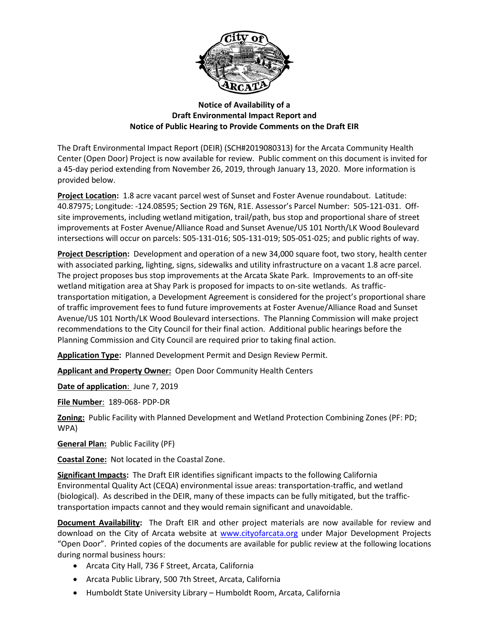

## **Notice of Availability of a Draft Environmental Impact Report and Notice of Public Hearing to Provide Comments on the Draft EIR**

The Draft Environmental Impact Report (DEIR) (SCH#2019080313) for the Arcata Community Health Center (Open Door) Project is now available for review. Public comment on this document is invited for a 45-day period extending from November 26, 2019, through January 13, 2020. More information is provided below.

**Project Location:** 1.8 acre vacant parcel west of Sunset and Foster Avenue roundabout. Latitude: 40.87975; Longitude: -124.08595; Section 29 T6N, R1E. Assessor's Parcel Number: 505-121-031. Offsite improvements, including wetland mitigation, trail/path, bus stop and proportional share of street improvements at Foster Avenue/Alliance Road and Sunset Avenue/US 101 North/LK Wood Boulevard intersections will occur on parcels: 505-131-016; 505-131-019; 505-051-025; and public rights of way.

**Project Description:** Development and operation of a new 34,000 square foot, two story, health center with associated parking, lighting, signs, sidewalks and utility infrastructure on a vacant 1.8 acre parcel. The project proposes bus stop improvements at the Arcata Skate Park. Improvements to an off-site wetland mitigation area at Shay Park is proposed for impacts to on-site wetlands. As traffictransportation mitigation, a Development Agreement is considered for the project's proportional share of traffic improvement fees to fund future improvements at Foster Avenue/Alliance Road and Sunset Avenue/US 101 North/LK Wood Boulevard intersections. The Planning Commission will make project recommendations to the City Council for their final action. Additional public hearings before the Planning Commission and City Council are required prior to taking final action.

**Application Type:** Planned Development Permit and Design Review Permit.

**Applicant and Property Owner:** Open Door Community Health Centers

**Date of application**: June 7, 2019

**File Number**: 189-068- PDP-DR

**Zoning:** Public Facility with Planned Development and Wetland Protection Combining Zones (PF: PD; WPA)

**General Plan:** Public Facility (PF)

**Coastal Zone:** Not located in the Coastal Zone.

**Significant Impacts:** The Draft EIR identifies significant impacts to the following California Environmental Quality Act (CEQA) environmental issue areas: transportation-traffic, and wetland (biological). As described in the DEIR, many of these impacts can be fully mitigated, but the traffictransportation impacts cannot and they would remain significant and unavoidable.

**Document Availability:** The Draft EIR and other project materials are now available for review and download on the City of Arcata website at [www.cityofarcata.org](http://www.cityofarcata.org/) under Major Development Projects "Open Door". Printed copies of the documents are available for public review at the following locations during normal business hours:

- Arcata City Hall, 736 F Street, Arcata, California
- Arcata Public Library, 500 7th Street, Arcata, California
- Humboldt State University Library Humboldt Room, Arcata, California